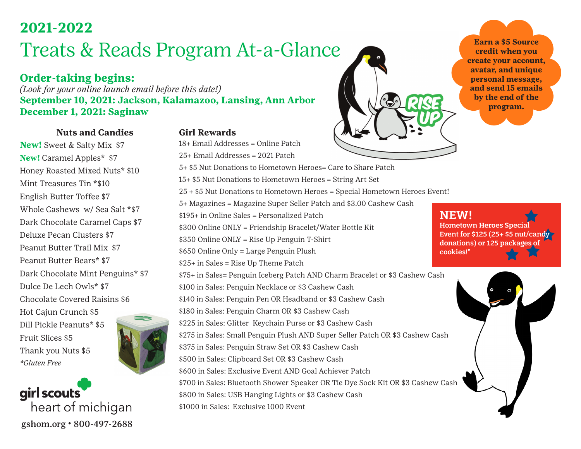### **2021-2022**

# Treats & Reads Program At-a-Glance

### **Order-taking begins:**

*(Look for your online launch email before this date!)* **September 10, 2021: Jackson, Kalamazoo, Lansing, Ann Arbor December 1, 2021: Saginaw**

#### **Nuts and Candies**

**New!** Sweet & Salty Mix \$7 **New!** Caramel Apples\* \$7 Honey Roasted Mixed Nuts\* \$10 Mint Treasures Tin \*\$10 English Butter Toffee \$7 Whole Cashews w/ Sea Salt \*\$7 Dark Chocolate Caramel Caps \$7 Deluxe Pecan Clusters \$7 Peanut Butter Trail Mix \$7 Peanut Butter Bears\* \$7 Dark Chocolate Mint Penguins\* \$7 Dulce De Lech Owls\* \$7 Chocolate Covered Raisins \$6 Hot Cajun Crunch \$5 Dill Pickle Peanuts\* \$5 Fruit Slices \$5 Thank you Nuts \$5 *\*Gluten Free*



girl scouts heart of michigan gshom.org • 800-497-2688



18+ Email Addresses = Online Patch

25+ Email Addresses = 2021 Patch 5+ \$5 Nut Donations to Hometown Heroes= Care to Share Patch 15+ \$5 Nut Donations to Hometown Heroes = String Art Set 25 + \$5 Nut Donations to Hometown Heroes = Special Hometown Heroes Event!

5+ Magazines = Magazine Super Seller Patch and \$3.00 Cashew Cash

\$195+ in Online Sales = Personalized Patch

\$300 Online ONLY = Friendship Bracelet/Water Bottle Kit

\$350 Online ONLY = Rise Up Penguin T-Shirt

\$650 Online Only = Large Penguin Plush

\$25+ in Sales = Rise Up Theme Patch

\$75+ in Sales= Penguin Iceberg Patch AND Charm Bracelet or \$3 Cashew Cash

\$100 in Sales: Penguin Necklace or \$3 Cashew Cash

\$140 in Sales: Penguin Pen OR Headband or \$3 Cashew Cash

\$180 in Sales: Penguin Charm OR \$3 Cashew Cash

\$225 in Sales: Glitter Keychain Purse or \$3 Cashew Cash

\$275 in Sales: Small Penguin Plush AND Super Seller Patch OR \$3 Cashew Cash

\$375 in Sales: Penguin Straw Set OR \$3 Cashew Cash

\$500 in Sales: Clipboard Set OR \$3 Cashew Cash

\$600 in Sales: Exclusive Event AND Goal Achiever Patch

\$700 in Sales: Bluetooth Shower Speaker OR Tie Dye Sock Kit OR \$3 Cashew Cash

\$800 in Sales: USB Hanging Lights or \$3 Cashew Cash

\$1000 in Sales: Exclusive 1000 Event

**Earn a \$5 Source credit when you create your account, avatar, and unique personal message, and send 15 emails by the end of the program.**

#### NEW!

Hometown Heroes Special Event for \$125 (25+ \$5 nut/candy donations) or 125 packages of cookies!"